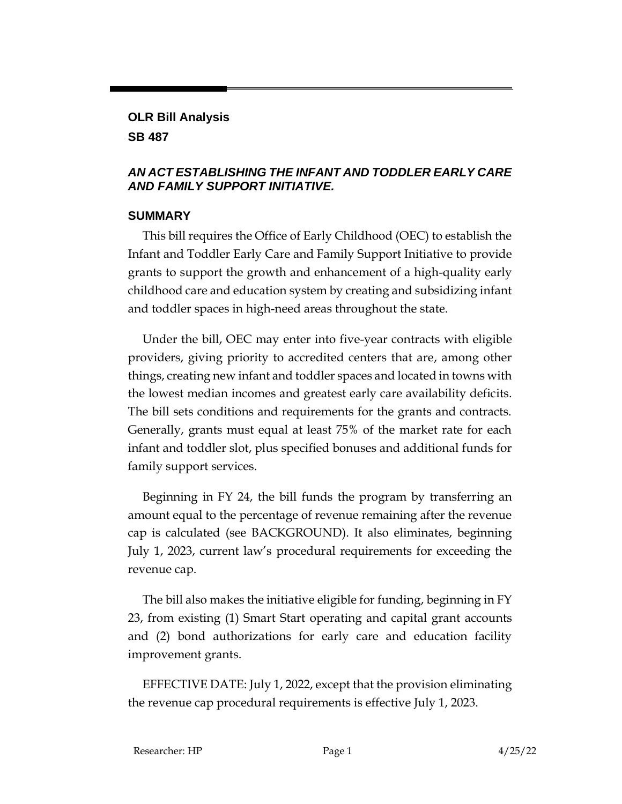# **OLR Bill Analysis**

#### **SB 487**

#### *AN ACT ESTABLISHING THE INFANT AND TODDLER EARLY CARE AND FAMILY SUPPORT INITIATIVE.*

#### **SUMMARY**

This bill requires the Office of Early Childhood (OEC) to establish the Infant and Toddler Early Care and Family Support Initiative to provide grants to support the growth and enhancement of a high-quality early childhood care and education system by creating and subsidizing infant and toddler spaces in high-need areas throughout the state.

Under the bill, OEC may enter into five-year contracts with eligible providers, giving priority to accredited centers that are, among other things, creating new infant and toddler spaces and located in towns with the lowest median incomes and greatest early care availability deficits. The bill sets conditions and requirements for the grants and contracts. Generally, grants must equal at least 75% of the market rate for each infant and toddler slot, plus specified bonuses and additional funds for family support services.

Beginning in FY 24, the bill funds the program by transferring an amount equal to the percentage of revenue remaining after the revenue cap is calculated (see BACKGROUND). It also eliminates, beginning July 1, 2023, current law's procedural requirements for exceeding the revenue cap.

The bill also makes the initiative eligible for funding, beginning in FY 23, from existing (1) Smart Start operating and capital grant accounts and (2) bond authorizations for early care and education facility improvement grants.

EFFECTIVE DATE: July 1, 2022, except that the provision eliminating the revenue cap procedural requirements is effective July 1, 2023.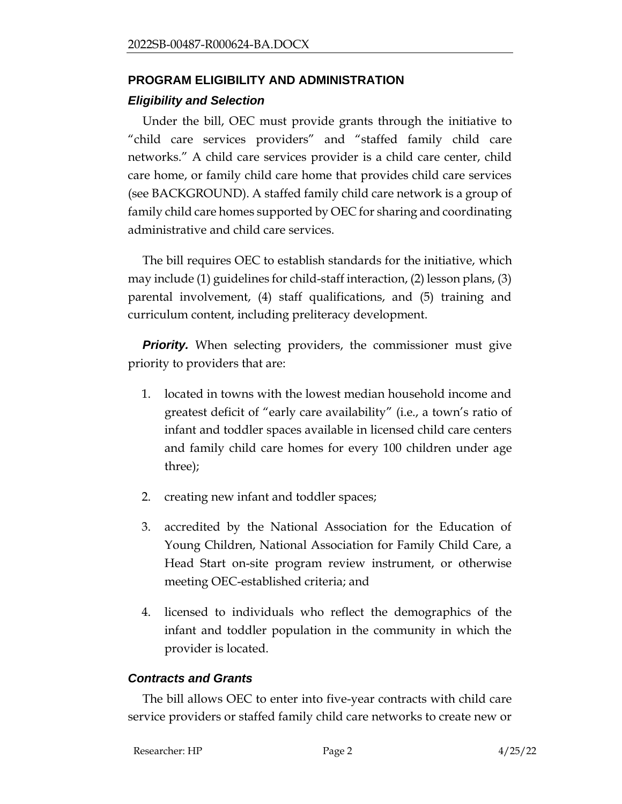# **PROGRAM ELIGIBILITY AND ADMINISTRATION**  *Eligibility and Selection*

Under the bill, OEC must provide grants through the initiative to "child care services providers" and "staffed family child care networks." A child care services provider is a child care center, child care home, or family child care home that provides child care services (see BACKGROUND). A staffed family child care network is a group of family child care homes supported by OEC for sharing and coordinating administrative and child care services.

The bill requires OEC to establish standards for the initiative, which may include (1) guidelines for child-staff interaction, (2) lesson plans, (3) parental involvement, (4) staff qualifications, and (5) training and curriculum content, including preliteracy development.

*Priority.* When selecting providers, the commissioner must give priority to providers that are:

- 1. located in towns with the lowest median household income and greatest deficit of "early care availability" (i.e., a town's ratio of infant and toddler spaces available in licensed child care centers and family child care homes for every 100 children under age three);
- 2. creating new infant and toddler spaces;
- 3. accredited by the National Association for the Education of Young Children, National Association for Family Child Care, a Head Start on-site program review instrument, or otherwise meeting OEC-established criteria; and
- 4. licensed to individuals who reflect the demographics of the infant and toddler population in the community in which the provider is located.

#### *Contracts and Grants*

The bill allows OEC to enter into five-year contracts with child care service providers or staffed family child care networks to create new or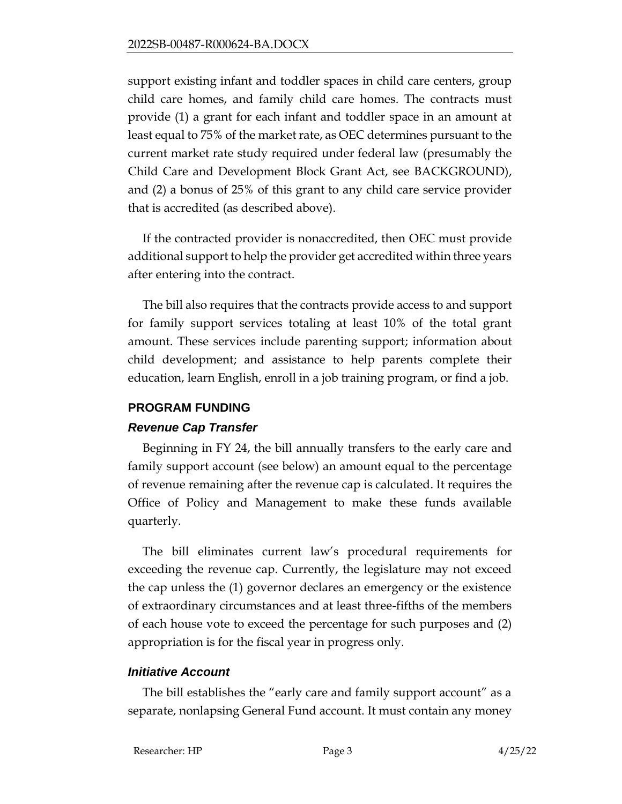support existing infant and toddler spaces in child care centers, group child care homes, and family child care homes. The contracts must provide (1) a grant for each infant and toddler space in an amount at least equal to 75% of the market rate, as OEC determines pursuant to the current market rate study required under federal law (presumably the Child Care and Development Block Grant Act, see BACKGROUND), and (2) a bonus of 25% of this grant to any child care service provider that is accredited (as described above).

If the contracted provider is nonaccredited, then OEC must provide additional support to help the provider get accredited within three years after entering into the contract.

The bill also requires that the contracts provide access to and support for family support services totaling at least 10% of the total grant amount. These services include parenting support; information about child development; and assistance to help parents complete their education, learn English, enroll in a job training program, or find a job.

#### **PROGRAM FUNDING**

#### *Revenue Cap Transfer*

Beginning in FY 24, the bill annually transfers to the early care and family support account (see below) an amount equal to the percentage of revenue remaining after the revenue cap is calculated. It requires the Office of Policy and Management to make these funds available quarterly.

The bill eliminates current law's procedural requirements for exceeding the revenue cap. Currently, the legislature may not exceed the cap unless the (1) governor declares an emergency or the existence of extraordinary circumstances and at least three-fifths of the members of each house vote to exceed the percentage for such purposes and (2) appropriation is for the fiscal year in progress only.

#### *Initiative Account*

The bill establishes the "early care and family support account" as a separate, nonlapsing General Fund account. It must contain any money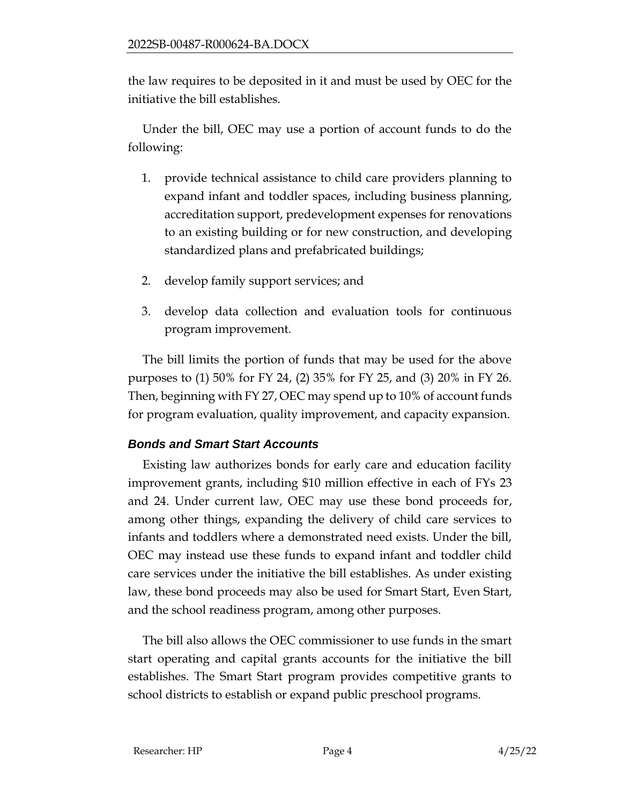the law requires to be deposited in it and must be used by OEC for the initiative the bill establishes.

Under the bill, OEC may use a portion of account funds to do the following:

- 1. provide technical assistance to child care providers planning to expand infant and toddler spaces, including business planning, accreditation support, predevelopment expenses for renovations to an existing building or for new construction, and developing standardized plans and prefabricated buildings;
- 2. develop family support services; and
- 3. develop data collection and evaluation tools for continuous program improvement.

The bill limits the portion of funds that may be used for the above purposes to (1) 50% for FY 24, (2) 35% for FY 25, and (3) 20% in FY 26. Then, beginning with FY 27, OEC may spend up to 10% of account funds for program evaluation, quality improvement, and capacity expansion.

## *Bonds and Smart Start Accounts*

Existing law authorizes bonds for early care and education facility improvement grants, including \$10 million effective in each of FYs 23 and 24. Under current law, OEC may use these bond proceeds for, among other things, expanding the delivery of child care services to infants and toddlers where a demonstrated need exists. Under the bill, OEC may instead use these funds to expand infant and toddler child care services under the initiative the bill establishes. As under existing law, these bond proceeds may also be used for Smart Start, Even Start, and the school readiness program, among other purposes.

The bill also allows the OEC commissioner to use funds in the smart start operating and capital grants accounts for the initiative the bill establishes. The Smart Start program provides competitive grants to school districts to establish or expand public preschool programs.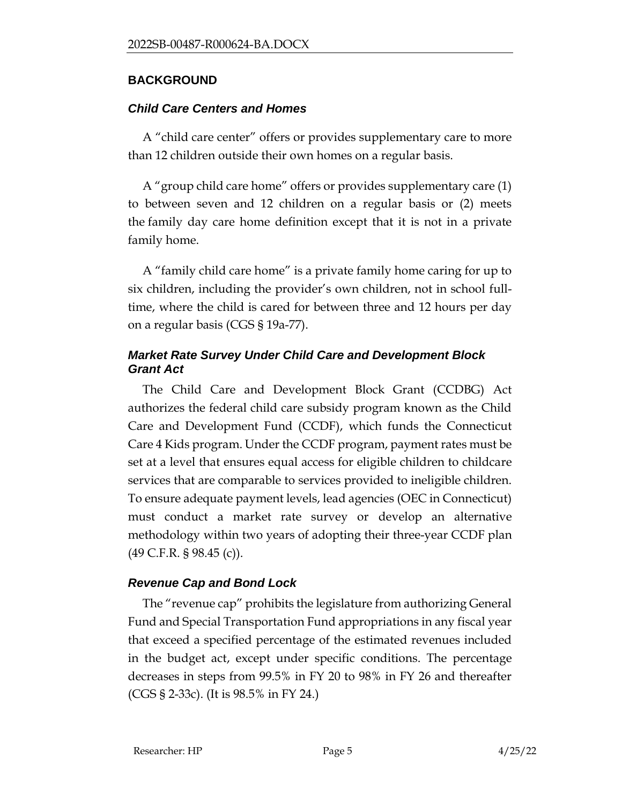#### **BACKGROUND**

#### *Child Care Centers and Homes*

A "child care center" offers or provides supplementary care to more than 12 children outside their own homes on a regular basis.

A "group child care home" offers or provides supplementary care (1) to between seven and 12 children on a regular basis or (2) meets the family day care home definition except that it is not in a private family home.

A "family child care home" is a private family home caring for up to six children, including the provider's own children, not in school fulltime, where the child is cared for between three and 12 hours per day on a regular basis (CGS § 19a-77).

### *Market Rate Survey Under Child Care and Development Block Grant Act*

The Child Care and Development Block Grant (CCDBG) Act authorizes the federal child care subsidy program known as the Child Care and Development Fund (CCDF), which funds the Connecticut Care 4 Kids program. Under the CCDF program, payment rates must be set at a level that ensures equal access for eligible children to childcare services that are comparable to services provided to ineligible children. To ensure adequate payment levels, lead agencies (OEC in Connecticut) must conduct a market rate survey or develop an alternative methodology within two years of adopting their three-year CCDF plan (49 C.F.R. § 98.45 (c)).

#### *Revenue Cap and Bond Lock*

The "revenue cap" prohibits the legislature from authorizing General Fund and Special Transportation Fund appropriations in any fiscal year that exceed a specified percentage of the estimated revenues included in the budget act, except under specific conditions. The percentage decreases in steps from 99.5% in FY 20 to 98% in FY 26 and thereafter (CGS § 2-33c). (It is 98.5% in FY 24.)